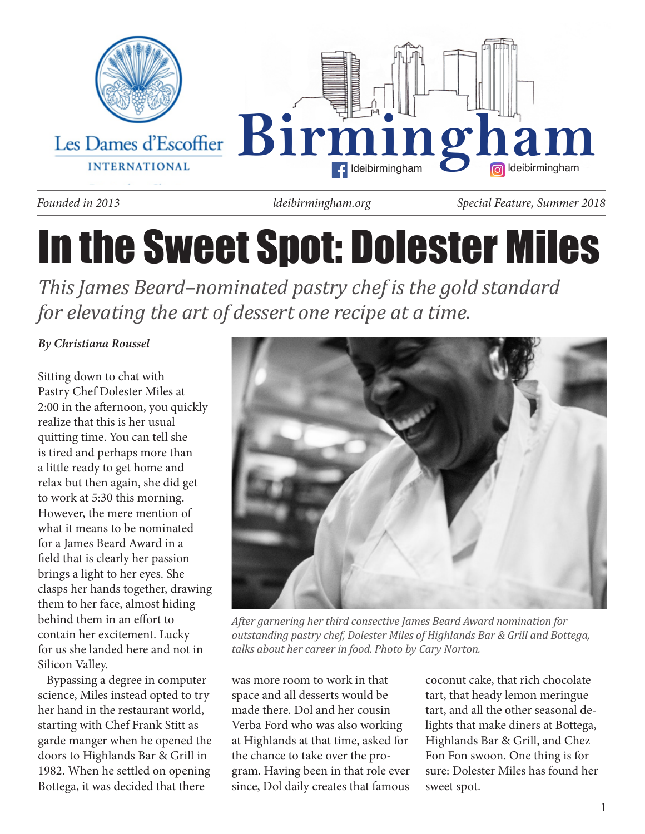

*ldeibirmingham.org*

*Founded in 2013 Special Feature, Summer 2018*

# In the Sweet Spot: Dolester Miles

*This James Beard–nominated pastry chef is the gold standard for elevating the art of dessert one recipe at a time.*

# *By Christiana Roussel*

Sitting down to chat with Pastry Chef Dolester Miles at 2:00 in the afternoon, you quickly realize that this is her usual quitting time. You can tell she is tired and perhaps more than a little ready to get home and relax but then again, she did get to work at 5:30 this morning. However, the mere mention of what it means to be nominated for a James Beard Award in a field that is clearly her passion brings a light to her eyes. She clasps her hands together, drawing them to her face, almost hiding behind them in an effort to contain her excitement. Lucky for us she landed here and not in Silicon Valley.

 Bypassing a degree in computer science, Miles instead opted to try her hand in the restaurant world, starting with Chef Frank Stitt as garde manger when he opened the doors to Highlands Bar & Grill in 1982. When he settled on opening Bottega, it was decided that there



*After garnering her third consective James Beard Award nomination for outstanding pastry chef, Dolester Miles of Highlands Bar & Grill and Bottega, talks about her career in food. Photo by Cary Norton.*

was more room to work in that space and all desserts would be made there. Dol and her cousin Verba Ford who was also working at Highlands at that time, asked for the chance to take over the program. Having been in that role ever since, Dol daily creates that famous coconut cake, that rich chocolate tart, that heady lemon meringue tart, and all the other seasonal delights that make diners at Bottega, Highlands Bar & Grill, and Chez Fon Fon swoon. One thing is for sure: Dolester Miles has found her sweet spot.